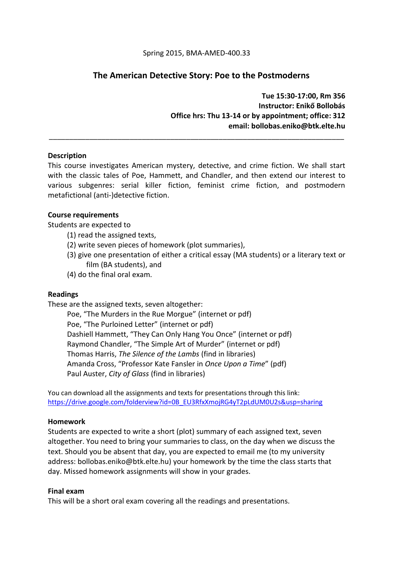# **The American Detective Story: Poe to the Postmoderns**

**Tue 15:30-17:00, Rm 356 Instructor: Enikő Bollobás Office hrs: Thu 13-14 or by appointment; office: 312 email: bollobas.eniko@btk.elte.hu**

## **Description**

This course investigates American mystery, detective, and crime fiction. We shall start with the classic tales of Poe, Hammett, and Chandler, and then extend our interest to various subgenres: serial killer fiction, feminist crime fiction, and postmodern metafictional (anti-)detective fiction.

\_\_\_\_\_\_\_\_\_\_\_\_\_\_\_\_\_\_\_\_\_\_\_\_\_\_\_\_\_\_\_\_\_\_\_\_\_\_\_\_\_\_\_\_\_\_\_\_\_\_\_\_\_\_\_\_\_\_\_\_\_\_\_\_\_\_\_\_\_\_\_\_\_

## **Course requirements**

Students are expected to

- (1) read the assigned texts,
- (2) write seven pieces of homework (plot summaries),
- (3) give one presentation of either a critical essay (MA students) or a literary text or film (BA students), and
- (4) do the final oral exam.

## **Readings**

These are the assigned texts, seven altogether:

Poe, "The Murders in the Rue Morgue" (internet or pdf) Poe, "The Purloined Letter" (internet or pdf) Dashiell Hammett, "They Can Only Hang You Once" (internet or pdf) Raymond Chandler, "The Simple Art of Murder" (internet or pdf) Thomas Harris, *The Silence of the Lambs* (find in libraries) Amanda Cross, "Professor Kate Fansler in *Once Upon a Time*" (pdf) Paul Auster, *City of Glass* (find in libraries)

You can download all the assignments and texts for presentations through this link: [https://drive.google.com/folderview?id=0B\\_EU3RfxXmojRG4yT2pLdUM0U2s&usp=sharing](https://drive.google.com/folderview?id=0B_EU3RfxXmojRG4yT2pLdUM0U2s&usp=sharing)

## **Homework**

Students are expected to write a short (plot) summary of each assigned text, seven altogether. You need to bring your summaries to class, on the day when we discuss the text. Should you be absent that day, you are expected to email me (to my university address: bollobas.eniko@btk.elte.hu) your homework by the time the class starts that day. Missed homework assignments will show in your grades.

## **Final exam**

This will be a short oral exam covering all the readings and presentations.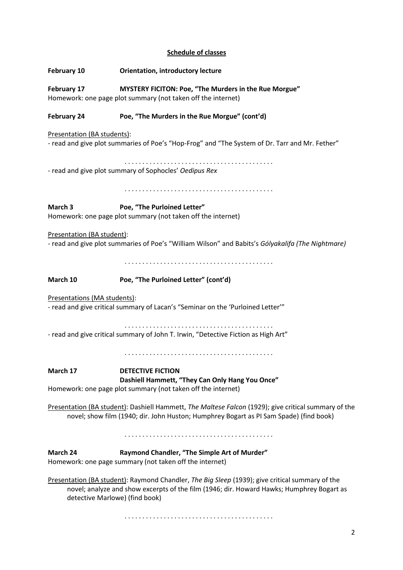# **Schedule of classes**

| February 10                                                                                                                                                                                                                    | <b>Orientation, introductory lecture</b>                                                                |  |
|--------------------------------------------------------------------------------------------------------------------------------------------------------------------------------------------------------------------------------|---------------------------------------------------------------------------------------------------------|--|
| MYSTERY FICITON: Poe, "The Murders in the Rue Morgue"<br>February 17<br>Homework: one page plot summary (not taken off the internet)                                                                                           |                                                                                                         |  |
| <b>February 24</b>                                                                                                                                                                                                             | Poe, "The Murders in the Rue Morgue" (cont'd)                                                           |  |
| Presentation (BA students):<br>- read and give plot summaries of Poe's "Hop-Frog" and "The System of Dr. Tarr and Mr. Fether"                                                                                                  |                                                                                                         |  |
| - read and give plot summary of Sophocles' Oedipus Rex                                                                                                                                                                         |                                                                                                         |  |
|                                                                                                                                                                                                                                |                                                                                                         |  |
| March 3                                                                                                                                                                                                                        | Poe, "The Purloined Letter"<br>Homework: one page plot summary (not taken off the internet)             |  |
| Presentation (BA student):<br>- read and give plot summaries of Poe's "William Wilson" and Babits's Gólyakalifa (The Nightmare)                                                                                                |                                                                                                         |  |
|                                                                                                                                                                                                                                |                                                                                                         |  |
| March 10                                                                                                                                                                                                                       | Poe, "The Purloined Letter" (cont'd)                                                                    |  |
| Presentations (MA students):<br>- read and give critical summary of Lacan's "Seminar on the 'Purloined Letter'"                                                                                                                |                                                                                                         |  |
| - read and give critical summary of John T. Irwin, "Detective Fiction as High Art"                                                                                                                                             |                                                                                                         |  |
|                                                                                                                                                                                                                                |                                                                                                         |  |
| March 17                                                                                                                                                                                                                       | <b>DETECTIVE FICTION</b><br>Dashiell Hammett, "They Can Only Hang You Once"                             |  |
| Homework: one page plot summary (not taken off the internet)                                                                                                                                                                   |                                                                                                         |  |
| Presentation (BA student): Dashiell Hammett, The Maltese Falcon (1929); give critical summary of the<br>novel; show film (1940; dir. John Huston; Humphrey Bogart as PI Sam Spade) (find book)                                 |                                                                                                         |  |
|                                                                                                                                                                                                                                |                                                                                                         |  |
| March 24                                                                                                                                                                                                                       | Raymond Chandler, "The Simple Art of Murder"<br>Homework: one page summary (not taken off the internet) |  |
| Presentation (BA student): Raymond Chandler, The Big Sleep (1939); give critical summary of the<br>novel; analyze and show excerpts of the film (1946; dir. Howard Hawks; Humphrey Bogart as<br>detective Marlowe) (find book) |                                                                                                         |  |

. . . . . . . . . . . . . . . . . . . . . . . . . . . . . . . . . . . . . . . . . .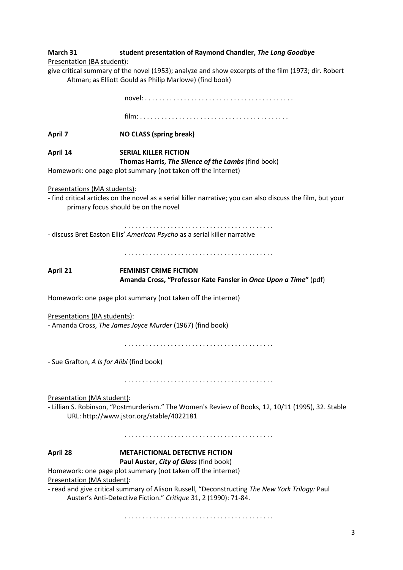| March 31 | student presentation of Raymond Chandler, The Long Goodbye |
|----------|------------------------------------------------------------|
|          |                                                            |

Presentation (BA student):

give critical summary of the novel (1953); analyze and show excerpts of the film (1973; dir. Robert Altman; as Elliott Gould as Philip Marlowe) (find book)

novel: . . . . . . . . . . . . . . . . . . . . . . . . . . . . . . . . . . . . . . . . . .

film: . . . . . . . . . . . . . . . . . . . . . . . . . . . . . . . . . . . . . . . . . .

**April 7 NO CLASS (spring break)**

**April 14 SERIAL KILLER FICTION Thomas Harris,** *The Silence of the Lambs* (find book)

Homework: one page plot summary (not taken off the internet)

Presentations (MA students):

- find critical articles on the novel as a serial killer narrative; you can also discuss the film, but your primary focus should be on the novel

. . . . . . . . . . . . . . . . . . . . . . . . . . . . . . . . . . . . . . . . . . - discuss Bret Easton Ellis' *American Psycho* as a serial killer narrative

. . . . . . . . . . . . . . . . . . . . . . . . . . . . . . . . . . . . . . . . . .

**April 21 FEMINIST CRIME FICTION Amanda Cross, "Professor Kate Fansler in** *Once Upon a Time***"** (pdf)

Homework: one page plot summary (not taken off the internet)

Presentations (BA students):

- Amanda Cross, *The James Joyce Murder* (1967) (find book)

. . . . . . . . . . . . . . . . . . . . . . . . . . . . . . . . . . . . . . . . . .

- Sue Grafton, *A Is for Alibi* (find book)

. . . . . . . . . . . . . . . . . . . . . . . . . . . . . . . . . . . . . . . . . .

Presentation (MA student):

- Lillian S. Robinson, "Postmurderism." The Women's Review of Books, 12, 10/11 (1995), 32. Stable URL: http://www.jstor.org/stable/4022181

. . . . . . . . . . . . . . . . . . . . . . . . . . . . . . . . . . . . . . . . . .

## **April 28 METAFICTIONAL DETECTIVE FICTION**

## **Paul Auster,** *City of Glass* (find book)

Homework: one page plot summary (not taken off the internet)

Presentation (MA student):

- read and give critical summary of Alison Russell, "Deconstructing *The New York Trilogy:* Paul Auster's Anti-Detective Fiction." *Critique* 31, 2 (1990): 71-84.

. . . . . . . . . . . . . . . . . . . . . . . . . . . . . . . . . . . . . . . . . .